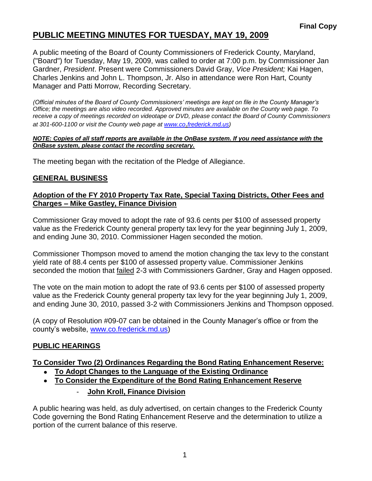A public meeting of the Board of County Commissioners of Frederick County, Maryland, ("Board") for Tuesday, May 19, 2009, was called to order at 7:00 p.m. by Commissioner Jan Gardner, *President*. Present were Commissioners David Gray, *Vice President;* Kai Hagen, Charles Jenkins and John L. Thompson, Jr. Also in attendance were Ron Hart, County Manager and Patti Morrow, Recording Secretary.

*(Official minutes of the Board of County Commissioners' meetings are kept on file in the County Manager's Office; the meetings are also video recorded. Approved minutes are available on the County web page. To receive a copy of meetings recorded on videotape or DVD, please contact the Board of County Commissioners at 301-600-1100 or visit the County web page at [www.co](http://www.co/)*.*frederick.md.us)*

#### *NOTE: Copies of all staff reports are available in the OnBase system. If you need assistance with the OnBase system, please contact the recording secretary.*

The meeting began with the recitation of the Pledge of Allegiance.

# **GENERAL BUSINESS**

### **Adoption of the FY 2010 Property Tax Rate, Special Taxing Districts, Other Fees and Charges – Mike Gastley, Finance Division**

Commissioner Gray moved to adopt the rate of 93.6 cents per \$100 of assessed property value as the Frederick County general property tax levy for the year beginning July 1, 2009, and ending June 30, 2010. Commissioner Hagen seconded the motion.

Commissioner Thompson moved to amend the motion changing the tax levy to the constant yield rate of 88.4 cents per \$100 of assessed property value. Commissioner Jenkins seconded the motion that failed 2-3 with Commissioners Gardner, Gray and Hagen opposed.

The vote on the main motion to adopt the rate of 93.6 cents per \$100 of assessed property value as the Frederick County general property tax levy for the year beginning July 1, 2009, and ending June 30, 2010, passed 3-2 with Commissioners Jenkins and Thompson opposed.

(A copy of Resolution #09-07 can be obtained in the County Manager's office or from the county's website, [www.co.frederick.md.us\)](file:\\NT1S5\BOCC\BOCC\BOCC%20Minutes\Patti)

## **PUBLIC HEARINGS**

## **To Consider Two (2) Ordinances Regarding the Bond Rating Enhancement Reserve:**

- **To Adopt Changes to the Language of the Existing Ordinance**
- **To Consider the Expenditure of the Bond Rating Enhancement Reserve** 
	- **John Kroll, Finance Division**

A public hearing was held, as duly advertised, on certain changes to the Frederick County Code governing the Bond Rating Enhancement Reserve and the determination to utilize a portion of the current balance of this reserve.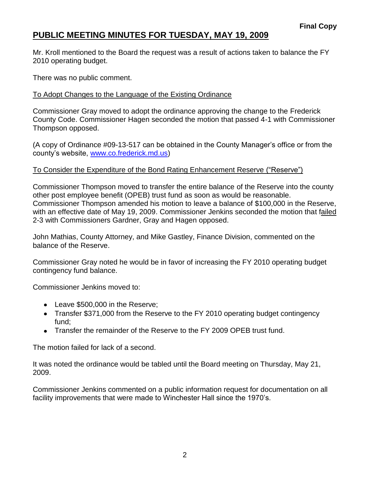Mr. Kroll mentioned to the Board the request was a result of actions taken to balance the FY 2010 operating budget.

There was no public comment.

### To Adopt Changes to the Language of the Existing Ordinance

Commissioner Gray moved to adopt the ordinance approving the change to the Frederick County Code. Commissioner Hagen seconded the motion that passed 4-1 with Commissioner Thompson opposed.

(A copy of Ordinance #09-13-517 can be obtained in the County Manager's office or from the county's website, [www.co.frederick.md.us\)](file:\\NT1S5\BOCC\BOCC\BOCC%20Minutes\Patti)

### To Consider the Expenditure of the Bond Rating Enhancement Reserve ("Reserve")

Commissioner Thompson moved to transfer the entire balance of the Reserve into the county other post employee benefit (OPEB) trust fund as soon as would be reasonable. Commissioner Thompson amended his motion to leave a balance of \$100,000 in the Reserve, with an effective date of May 19, 2009. Commissioner Jenkins seconded the motion that failed 2-3 with Commissioners Gardner, Gray and Hagen opposed.

John Mathias, County Attorney, and Mike Gastley, Finance Division, commented on the balance of the Reserve.

Commissioner Gray noted he would be in favor of increasing the FY 2010 operating budget contingency fund balance.

Commissioner Jenkins moved to:

- Leave \$500,000 in the Reserve:
- Transfer \$371,000 from the Reserve to the FY 2010 operating budget contingency fund;
- Transfer the remainder of the Reserve to the FY 2009 OPEB trust fund.

The motion failed for lack of a second.

It was noted the ordinance would be tabled until the Board meeting on Thursday, May 21, 2009.

Commissioner Jenkins commented on a public information request for documentation on all facility improvements that were made to Winchester Hall since the 1970's.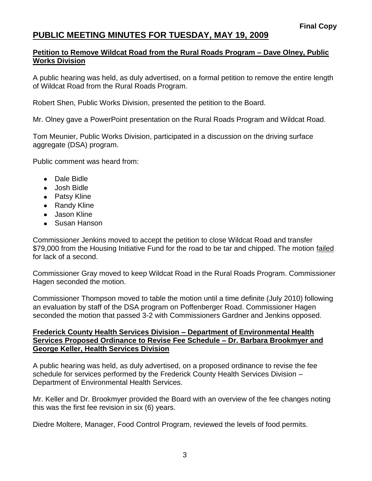#### **Petition to Remove Wildcat Road from the Rural Roads Program – Dave Olney, Public Works Division**

A public hearing was held, as duly advertised, on a formal petition to remove the entire length of Wildcat Road from the Rural Roads Program.

Robert Shen, Public Works Division, presented the petition to the Board.

Mr. Olney gave a PowerPoint presentation on the Rural Roads Program and Wildcat Road.

Tom Meunier, Public Works Division, participated in a discussion on the driving surface aggregate (DSA) program.

Public comment was heard from:

- Dale Bidle
- Josh Bidle
- Patsy Kline
- Randy Kline
- Jason Kline
- Susan Hanson

Commissioner Jenkins moved to accept the petition to close Wildcat Road and transfer \$79,000 from the Housing Initiative Fund for the road to be tar and chipped. The motion failed for lack of a second.

Commissioner Gray moved to keep Wildcat Road in the Rural Roads Program. Commissioner Hagen seconded the motion.

Commissioner Thompson moved to table the motion until a time definite (July 2010) following an evaluation by staff of the DSA program on Poffenberger Road. Commissioner Hagen seconded the motion that passed 3-2 with Commissioners Gardner and Jenkins opposed.

#### **Frederick County Health Services Division – Department of Environmental Health Services Proposed Ordinance to Revise Fee Schedule – Dr. Barbara Brookmyer and George Keller, Health Services Division**

A public hearing was held, as duly advertised, on a proposed ordinance to revise the fee schedule for services performed by the Frederick County Health Services Division – Department of Environmental Health Services.

Mr. Keller and Dr. Brookmyer provided the Board with an overview of the fee changes noting this was the first fee revision in six (6) years.

Diedre Moltere, Manager, Food Control Program, reviewed the levels of food permits.